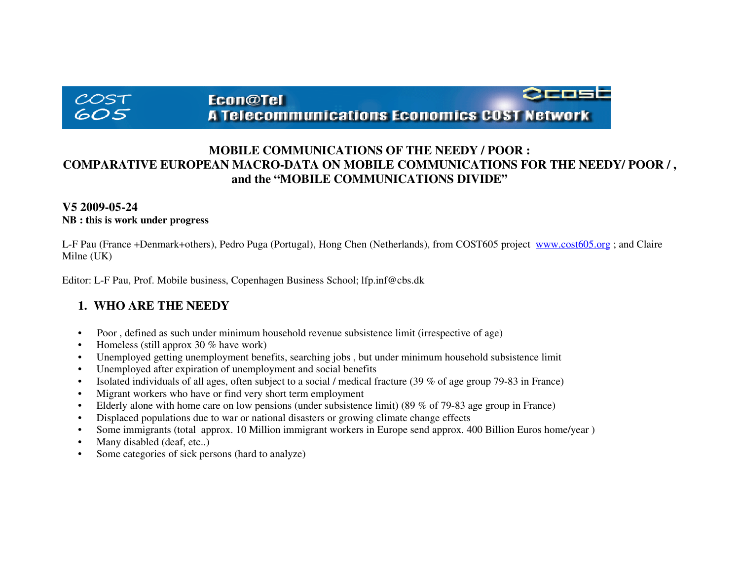# $COST$ 605

#### <u> Crost</u> Econ@Tel **A Telecommunications Economics COST Network**

## **MOBILE COMMUNICATIONS OF THE NEEDY / POOR : COMPARATIVE EUROPEAN MACRO-DATA ON MOBILE COMMUNICATIONS FOR THE NEEDY/ POOR / , and the "MOBILE COMMUNICATIONS DIVIDE"**

#### **V5 2009-05-24 NB : this is work under progress**

L-F Pau (France +Denmark+others), Pedro Puga (Portugal), Hong Chen (Netherlands), from COST605 project www.cost605.org ; and Claire Milne (UK)

Editor: L-F Pau, Prof. Mobile business, Copenhagen Business School; lfp.inf@cbs.dk

## **1. WHO ARE THE NEEDY**

- •Poor , defined as such under minimum household revenue subsistence limit (irrespective of age)
- Homeless (still approx 30 % have work)
- Unemployed getting unemployment benefits, searching jobs , but under minimum household subsistence limit
- Unemployed after expiration of unemployment and social benefits
- Isolated individuals of all ages, often subject to a social / medical fracture (39 % of age group 79-83 in France)
- Migrant workers who have or find very short term employment
- Elderly alone with home care on low pensions (under subsistence limit) (89 % of 79-83 age group in France)
- Displaced populations due to war or national disasters or growing climate change effects
- Some immigrants (total approx. 10 Million immigrant workers in Europe send approx. 400 Billion Euros home/year )
- Many disabled (deaf, etc..)
- Some categories of sick persons (hard to analyze)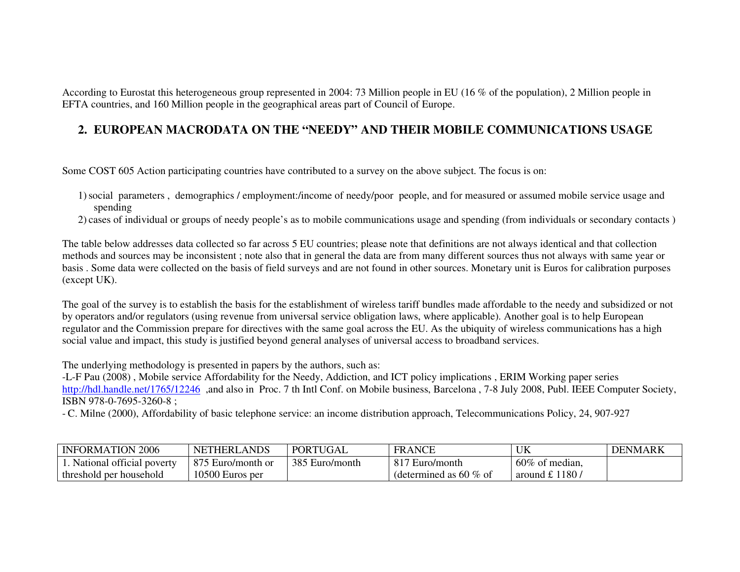According to Eurostat this heterogeneous group represented in 2004: 73 Million people in EU (16 % of the population), 2 Million people inEFTA countries, and 160 Million people in the geographical areas part of Council of Europe.

## **2. EUROPEAN MACRODATA ON THE "NEEDY" AND THEIR MOBILE COMMUNICATIONS USAGE**

Some COST 605 Action participating countries have contributed to a survey on the above subject. The focus is on:

1)social parameters , demographics / employment:/income of needy/poor people, and for measured or assumed mobile service usage and spending

2) cases of individual or groups of needy people's as to mobile communications usage and spending (from individuals or secondary contacts )

The table below addresses data collected so far across 5 EU countries; please note that definitions are not always identical and that collection methods and sources may be inconsistent ; note also that in general the data are from many different sources thus not always with same year or basis . Some data were collected on the basis of field surveys and are not found in other sources. Monetary unit is Euros for calibration purposes (except UK).

The goal of the survey is to establish the basis for the establishment of wireless tariff bundles made affordable to the needy and subsidized or not by operators and/or regulators (using revenue from universal service obligation laws, where applicable). Another goal is to help European regulator and the Commission prepare for directives with the same goal across the EU. As the ubiquity of wireless communications has a high social value and impact, this study is justified beyond general analyses of universal access to broadband services.

The underlying methodology is presented in papers by the authors, such as:

 -L-F Pau (2008) , Mobile service Affordability for the Needy, Addiction, and ICT policy implications , ERIM Working paper series http://hdl.handle.net/1765/12246 ,and also in Proc. 7 th Intl Conf. on Mobile business, Barcelona , 7-8 July 2008, Publ. IEEE Computer Society, ISBN 978-0-7695-3260-8 ;

- C. Milne (2000), Affordability of basic telephone service: an income distribution approach, Telecommunications Policy, 24, 907-927

| <b>INFORMATION 2006</b>     | <b>NETHERLANDS</b> | PORTUGAL       | <b>FRANCE</b>             | UK             | <b>DENMARK</b> |
|-----------------------------|--------------------|----------------|---------------------------|----------------|----------------|
| . National official poverty | 875 Euro/month or  | 385 Euro/month | 817 Euro/month            | 60% of median, |                |
| threshold per household     | 10500 Euros per    |                | (determined as 60 $\%$ of | around £ 1180/ |                |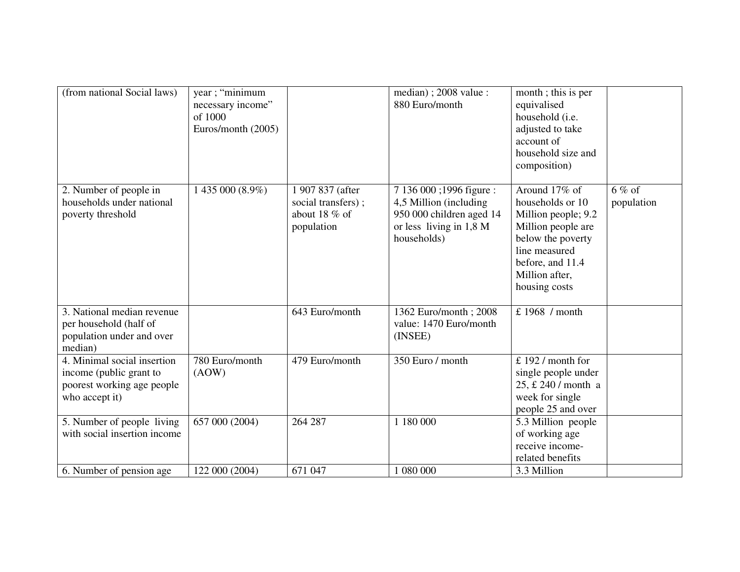| (from national Social laws)                                                                            | year; "minimum<br>necessary income"<br>of 1000<br>Euros/month (2005) |                                                                         | median); 2008 value:<br>880 Euro/month                                                                                   | month; this is per<br>equivalised<br>household (i.e.<br>adjusted to take<br>account of<br>household size and<br>composition)                                                |                        |
|--------------------------------------------------------------------------------------------------------|----------------------------------------------------------------------|-------------------------------------------------------------------------|--------------------------------------------------------------------------------------------------------------------------|-----------------------------------------------------------------------------------------------------------------------------------------------------------------------------|------------------------|
| 2. Number of people in<br>households under national<br>poverty threshold                               | 1 435 000 (8.9%)                                                     | 1 907 837 (after<br>social transfers);<br>about 18 $%$ of<br>population | 7 136 000 ;1996 figure :<br>4,5 Million (including<br>950 000 children aged 14<br>or less living in 1,8 M<br>households) | Around 17% of<br>households or 10<br>Million people; 9.2<br>Million people are<br>below the poverty<br>line measured<br>before, and 11.4<br>Million after,<br>housing costs | $6\%$ of<br>population |
| 3. National median revenue<br>per household (half of<br>population under and over<br>median)           |                                                                      | 643 Euro/month                                                          | 1362 Euro/month; 2008<br>value: 1470 Euro/month<br>(INSEE)                                                               | £ 1968 / month                                                                                                                                                              |                        |
| 4. Minimal social insertion<br>income (public grant to<br>poorest working age people<br>who accept it) | 780 Euro/month<br>(AOW)                                              | 479 Euro/month                                                          | 350 Euro / month                                                                                                         | £ 192 / month for<br>single people under<br>25, £ 240 / month a<br>week for single<br>people 25 and over                                                                    |                        |
| 5. Number of people living<br>with social insertion income                                             | 657 000 (2004)                                                       | 264 287                                                                 | 1 180 000                                                                                                                | 5.3 Million people<br>of working age<br>receive income-<br>related benefits                                                                                                 |                        |
| 6. Number of pension age                                                                               | 122 000 (2004)                                                       | 671 047                                                                 | 1 080 000                                                                                                                | 3.3 Million                                                                                                                                                                 |                        |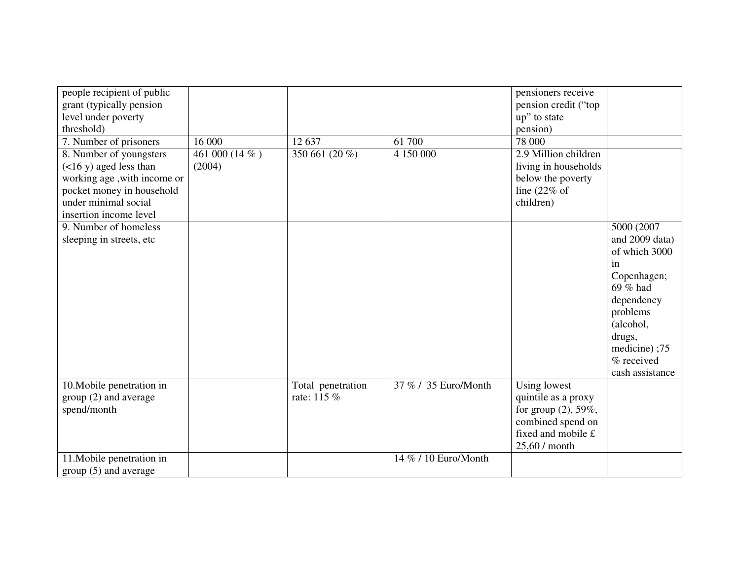| people recipient of public<br>grant (typically pension<br>level under poverty<br>threshold)<br>7. Number of prisoners<br>8. Number of youngsters<br>$($ <16 y) aged less than<br>working age, with income or<br>pocket money in household<br>under minimal social | 16 000<br>461 000 (14 %)<br>(2004) | 12 637<br>350 661 (20 %)         | 61 700<br>4 150 000  | pensioners receive<br>pension credit ("top<br>up" to state<br>pension)<br>78 000<br>2.9 Million children<br>living in households<br>below the poverty<br>line $(22\% \text{ of }$<br>children) |                                                                                                                                                                                  |
|-------------------------------------------------------------------------------------------------------------------------------------------------------------------------------------------------------------------------------------------------------------------|------------------------------------|----------------------------------|----------------------|------------------------------------------------------------------------------------------------------------------------------------------------------------------------------------------------|----------------------------------------------------------------------------------------------------------------------------------------------------------------------------------|
| insertion income level<br>9. Number of homeless<br>sleeping in streets, etc                                                                                                                                                                                       |                                    |                                  |                      |                                                                                                                                                                                                | 5000 (2007<br>and 2009 data)<br>of which 3000<br>in<br>Copenhagen;<br>69 % had<br>dependency<br>problems<br>(alcohol,<br>drugs,<br>medicine);75<br>% received<br>cash assistance |
| 10. Mobile penetration in<br>group (2) and average<br>spend/month                                                                                                                                                                                                 |                                    | Total penetration<br>rate: 115 % | 37 % / 35 Euro/Month | Using lowest<br>quintile as a proxy<br>for group (2), 59%,<br>combined spend on<br>fixed and mobile £<br>25,60 / month                                                                         |                                                                                                                                                                                  |
| 11. Mobile penetration in<br>group (5) and average                                                                                                                                                                                                                |                                    |                                  | 14 % / 10 Euro/Month |                                                                                                                                                                                                |                                                                                                                                                                                  |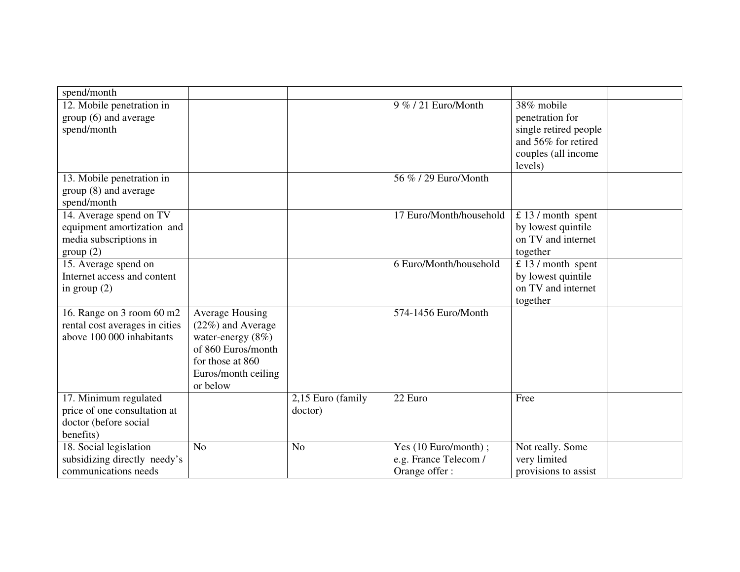| spend/month                    |                      |                   |                                   |                       |  |
|--------------------------------|----------------------|-------------------|-----------------------------------|-----------------------|--|
| 12. Mobile penetration in      |                      |                   | 9 % / 21 Euro/Month               | 38% mobile            |  |
| group (6) and average          |                      |                   |                                   | penetration for       |  |
| spend/month                    |                      |                   |                                   | single retired people |  |
|                                |                      |                   |                                   | and 56% for retired   |  |
|                                |                      |                   |                                   | couples (all income   |  |
|                                |                      |                   |                                   | levels)               |  |
| 13. Mobile penetration in      |                      |                   | 56 % / 29 Euro/Month              |                       |  |
| group (8) and average          |                      |                   |                                   |                       |  |
| spend/month                    |                      |                   |                                   |                       |  |
| 14. Average spend on TV        |                      |                   | 17 Euro/Month/household           | £ 13 / month spent    |  |
| equipment amortization and     |                      |                   |                                   | by lowest quintile    |  |
| media subscriptions in         |                      |                   |                                   | on TV and internet    |  |
| group(2)                       |                      |                   |                                   | together              |  |
| 15. Average spend on           |                      |                   | 6 Euro/Month/household            | $£ 13 / month$ spent  |  |
| Internet access and content    |                      |                   |                                   | by lowest quintile    |  |
| in group $(2)$                 |                      |                   |                                   | on TV and internet    |  |
|                                |                      |                   |                                   | together              |  |
| 16. Range on 3 room 60 m2      | Average Housing      |                   | 574-1456 Euro/Month               |                       |  |
| rental cost averages in cities | (22%) and Average    |                   |                                   |                       |  |
| above 100 000 inhabitants      | water-energy $(8\%)$ |                   |                                   |                       |  |
|                                | of 860 Euros/month   |                   |                                   |                       |  |
|                                | for those at 860     |                   |                                   |                       |  |
|                                | Euros/month ceiling  |                   |                                   |                       |  |
|                                | or below             |                   |                                   |                       |  |
| 17. Minimum regulated          |                      | 2,15 Euro (family | 22 Euro                           | Free                  |  |
| price of one consultation at   |                      | doctor)           |                                   |                       |  |
| doctor (before social          |                      |                   |                                   |                       |  |
| benefits)                      |                      |                   |                                   |                       |  |
| 18. Social legislation         | N <sub>o</sub>       | N <sub>o</sub>    | $\overline{Yes}$ (10 Euro/month); | Not really. Some      |  |
| subsidizing directly needy's   |                      |                   | e.g. France Telecom /             | very limited          |  |
| communications needs           |                      |                   | Orange offer:                     | provisions to assist  |  |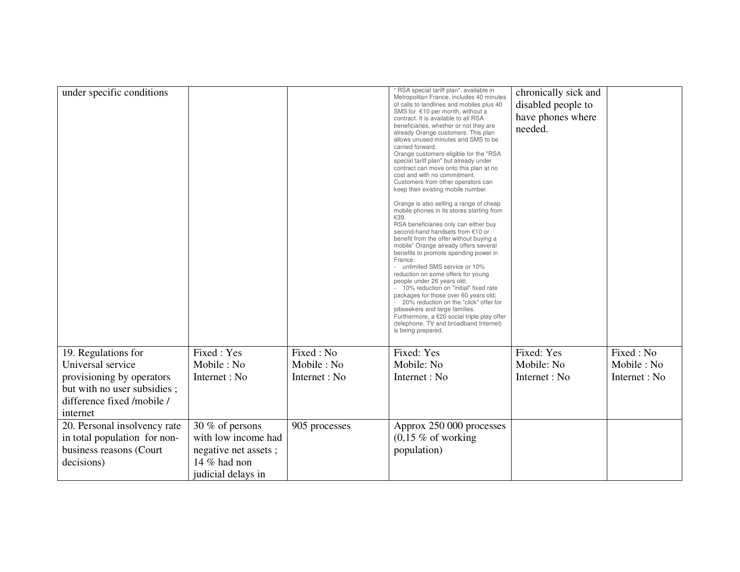| under specific conditions              |                      |               | " RSA special tariff plan", available in<br>Metropolitan France, includes 40 minutes<br>of calls to landlines and mobiles plus 40<br>SMS for €10 per month, without a<br>contract. It is available to all RSA<br>beneficiaries, whether or not they are<br>already Orange customers. This plan<br>allows unused minutes and SMS to be<br>carried forward.<br>Orange customers eligible for the "RSA<br>special tariff plan" but already under<br>contract can move onto this plan at no<br>cost and with no commitment.<br>Customers from other operators can<br>keep their existing mobile number.<br>Orange is also selling a range of cheap<br>mobile phones in its stores starting from<br>€39.<br>RSA beneficiaries only can either buy<br>second-hand handsets from €10 or<br>benefit from the offer without buying a<br>mobile" Orange already offers several<br>benefits to promote spending power in<br>France:<br>unlimited SMS service or 10%<br>reduction on some offers for young<br>people under 26 years old;<br>10% reduction on "initial" fixed rate<br>packages for those over 60 years old;<br>20% reduction on the "click" offer for<br>jobseekers and large families.<br>Furthermore, a $€20$ social triple play offer<br>(telephone, TV and broadband Internet)<br>is being prepared. | chronically sick and<br>disabled people to<br>have phones where<br>needed. |               |
|----------------------------------------|----------------------|---------------|-------------------------------------------------------------------------------------------------------------------------------------------------------------------------------------------------------------------------------------------------------------------------------------------------------------------------------------------------------------------------------------------------------------------------------------------------------------------------------------------------------------------------------------------------------------------------------------------------------------------------------------------------------------------------------------------------------------------------------------------------------------------------------------------------------------------------------------------------------------------------------------------------------------------------------------------------------------------------------------------------------------------------------------------------------------------------------------------------------------------------------------------------------------------------------------------------------------------------------------------------------------------------------------------------------------|----------------------------------------------------------------------------|---------------|
| 19. Regulations for                    | Fixed: Yes           | Fixed: No     | Fixed: Yes                                                                                                                                                                                                                                                                                                                                                                                                                                                                                                                                                                                                                                                                                                                                                                                                                                                                                                                                                                                                                                                                                                                                                                                                                                                                                                  | Fixed: Yes                                                                 | Fixed: No     |
| Universal service                      | Mobile: No           | Mobile: No    | Mobile: No                                                                                                                                                                                                                                                                                                                                                                                                                                                                                                                                                                                                                                                                                                                                                                                                                                                                                                                                                                                                                                                                                                                                                                                                                                                                                                  | Mobile: No                                                                 | Mobile: No    |
| provisioning by operators              | Internet : No        | Internet : No | Internet : No                                                                                                                                                                                                                                                                                                                                                                                                                                                                                                                                                                                                                                                                                                                                                                                                                                                                                                                                                                                                                                                                                                                                                                                                                                                                                               | Internet : No                                                              | Internet : No |
| but with no user subsidies;            |                      |               |                                                                                                                                                                                                                                                                                                                                                                                                                                                                                                                                                                                                                                                                                                                                                                                                                                                                                                                                                                                                                                                                                                                                                                                                                                                                                                             |                                                                            |               |
| difference fixed /mobile /<br>internet |                      |               |                                                                                                                                                                                                                                                                                                                                                                                                                                                                                                                                                                                                                                                                                                                                                                                                                                                                                                                                                                                                                                                                                                                                                                                                                                                                                                             |                                                                            |               |
| 20. Personal insolvency rate           | 30 % of persons      | 905 processes | Approx 250 000 processes                                                                                                                                                                                                                                                                                                                                                                                                                                                                                                                                                                                                                                                                                                                                                                                                                                                                                                                                                                                                                                                                                                                                                                                                                                                                                    |                                                                            |               |
| in total population for non-           | with low income had  |               | $(0,15 \% \text{ of working})$                                                                                                                                                                                                                                                                                                                                                                                                                                                                                                                                                                                                                                                                                                                                                                                                                                                                                                                                                                                                                                                                                                                                                                                                                                                                              |                                                                            |               |
| business reasons (Court                | negative net assets; |               | population)                                                                                                                                                                                                                                                                                                                                                                                                                                                                                                                                                                                                                                                                                                                                                                                                                                                                                                                                                                                                                                                                                                                                                                                                                                                                                                 |                                                                            |               |
| decisions)                             | 14 $%$ had non       |               |                                                                                                                                                                                                                                                                                                                                                                                                                                                                                                                                                                                                                                                                                                                                                                                                                                                                                                                                                                                                                                                                                                                                                                                                                                                                                                             |                                                                            |               |
|                                        | judicial delays in   |               |                                                                                                                                                                                                                                                                                                                                                                                                                                                                                                                                                                                                                                                                                                                                                                                                                                                                                                                                                                                                                                                                                                                                                                                                                                                                                                             |                                                                            |               |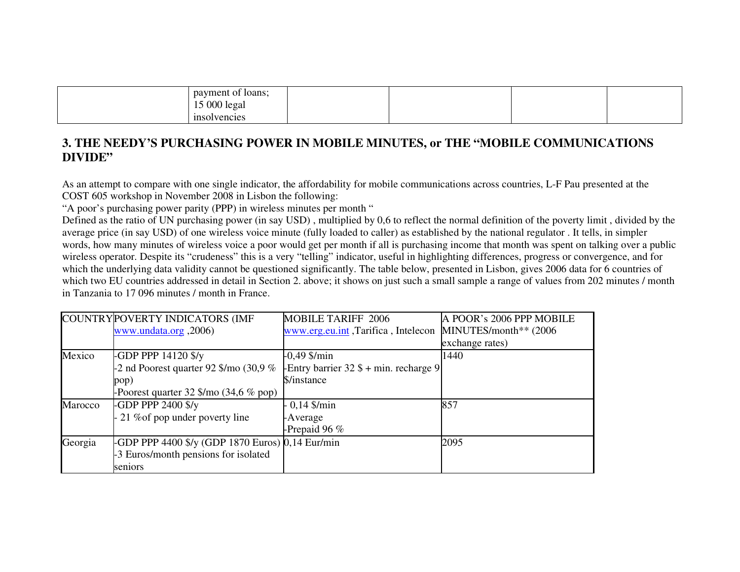| payment of loans;              |  |
|--------------------------------|--|
| 000<br>1 <sub>c</sub><br>legal |  |
| -insol<br>vencies              |  |

## **3. THE NEEDY'S PURCHASING POWER IN MOBILE MINUTES, or THE "MOBILE COMMUNICATIONS DIVIDE"**

As an attempt to compare with one single indicator, the affordability for mobile communications across countries, L-F Pau presented at the COST 605 workshop in November 2008 in Lisbon the following:

"A poor's purchasing power parity (PPP) in wireless minutes per month "

 Defined as the ratio of UN purchasing power (in say USD) , multiplied by 0,6 to reflect the normal definition of the poverty limit , divided by the average price (in say USD) of one wireless voice minute (fully loaded to caller) as established by the national regulator . It tells, in simpler words, how many minutes of wireless voice a poor would get per month if all is purchasing income that month was spent on talking over a public wireless operator. Despite its "crudeness" this is a very "telling" indicator, useful in highlighting differences, progress or convergence, and for which the underlying data validity cannot be questioned significantly. The table below, presented in Lisbon, gives 2006 data for 6 countries of which two EU countries addressed in detail in Section 2. above; it shows on just such a small sample a range of values from 202 minutes / month in Tanzania to 17 096 minutes / month in France.

|         | COUNTRY POVERTY INDICATORS (IMF                                                                                 | <b>MOBILE TARIFF 2006</b>                | A POOR's 2006 PPP MOBILE |
|---------|-----------------------------------------------------------------------------------------------------------------|------------------------------------------|--------------------------|
|         | www.undata.org, 2006)                                                                                           | www.erg.eu.int, Tarifica, Intelecon      | MINUTES/month** (2006)   |
|         |                                                                                                                 |                                          | exchange rates)          |
| Mexico  | -GDP PPP $14120$ \$/y                                                                                           | $-0,49$ \$/min                           | 1440                     |
|         | -2 nd Poorest quarter 92 $\gamma$ mo (30,9 %                                                                    | -Entry barrier $32$ \$ + min. recharge 9 |                          |
|         | pop)                                                                                                            | \$/instance                              |                          |
|         | -Poorest quarter $32 \frac{\text{}{\degree}}$ mo $(34.6 \frac{\text{%}}{\text{6}} \frac{\text{p}}{\text{opp}})$ |                                          |                          |
| Marocco | -GDP PPP 2400 $\frac{f}{f}$                                                                                     | $-0,14$ \$/min                           | 857                      |
|         | 21 % of pop under poverty line                                                                                  | -Average                                 |                          |
|         |                                                                                                                 | -Prepaid 96 $%$                          |                          |
| Georgia | -GDP PPP 4400 \$/y (GDP 1870 Euros) 0,14 Eur/min                                                                |                                          | 2095                     |
|         | -3 Euros/month pensions for isolated                                                                            |                                          |                          |
|         | seniors                                                                                                         |                                          |                          |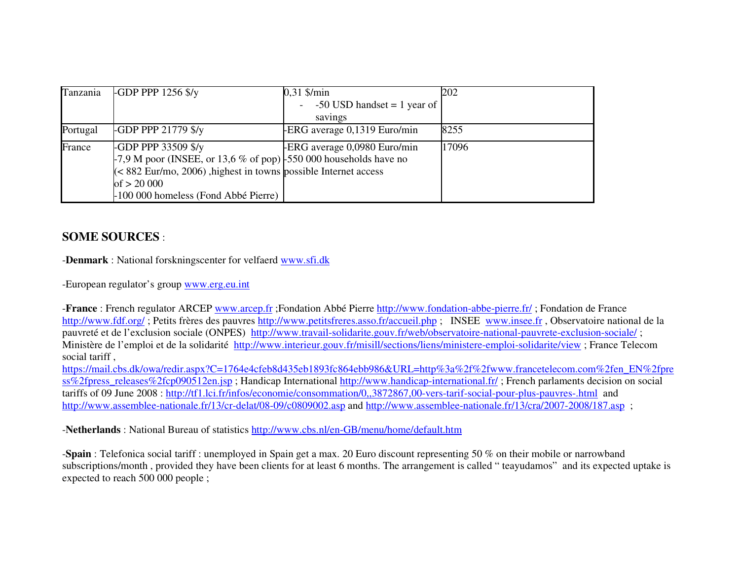| Tanzania | $-$ GDP PPP 1256 \$/y                                                  | $0,31$ \$/min                 | 202   |
|----------|------------------------------------------------------------------------|-------------------------------|-------|
|          |                                                                        | $-50$ USD handset = 1 year of |       |
|          |                                                                        | savings                       |       |
| Portugal | <b>-GDP PPP 21779 \$/y</b>                                             | ERG average 0,1319 Euro/min   | 8255  |
| France   | -GDP PPP 33509 \$/y                                                    | ERG average 0,0980 Euro/min   | 17096 |
|          | $-7.9$ M poor (INSEE, or 13,6 % of pop) $-550000$ households have no   |                               |       |
|          | $\approx$ 882 Eur/mo, 2006), highest in towns possible Internet access |                               |       |
|          | of $> 20000$                                                           |                               |       |
|          | -100 000 homeless (Fond Abbé Pierre)                                   |                               |       |

### **SOME SOURCES** :

-**Denmark** : National forskningscenter for velfaerd www.sfi.dk

-European regulator's group www.erg.eu.int

-**France** : French regulator ARCEP www.arcep.fr ;Fondation Abbé Pierre http://www.fondation-abbe-pierre.fr/ ; Fondation de France http://www.fdf.org/; Petits frères des pauvres http://www.petitsfreres.asso.fr/accueil.php; INSEE www.insee.fr, Observatoire national de la pauvreté et de l'exclusion sociale (ONPES) http://www.travail-solidarite.gouv.fr/web/observatoire-national-pauvrete-exclusion-sociale/ ; Ministère de l'emploi et de la solidarité http://www.interieur.gouv.fr/misill/sections/liens/ministere-emploi-solidarite/view ; France Telecom social tariff ,

 https://mail.cbs.dk/owa/redir.aspx?C=1764e4cfeb8d435eb1893fc864ebb986&URL=http%3a%2f%2fwww.francetelecom.com%2fen\_EN%2fpress%2fpress\_releases%2fcp090512en.jsp; Handicap International http://www.handicap-international.fr/; French parlaments decision on social tariffs of 09 June 2008 : http://tf1.lci.fr/infos/economie/consommation/0,,3872867,00-vers-tarif-social-pour-plus-pauvres-.html and http://www.assemblee-nationale.fr/13/cr-delat/08-09/c0809002.asp and http://www.assemblee-nationale.fr/13/cra/2007-2008/187.asp;

-**Netherlands** : National Bureau of statistics http://www.cbs.nl/en-GB/menu/home/default.htm

-**Spain** : Telefonica social tariff : unemployed in Spain get a max. 20 Euro discount representing 50 % on their mobile or narrowband subscriptions/month, provided they have been clients for at least 6 months. The arrangement is called "teayudamos" and its expected uptake is expected to reach 500 000 people ;